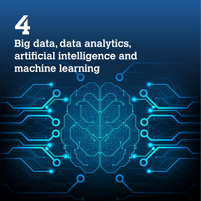# **4 Big data, data analytics, artificial intelligence and machine learning**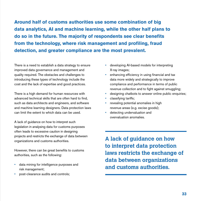**Around half of customs authorities use some combination of big data analytics, AI and machine learning, while the other half plans to do so in the future. The majority of respondents see clear benefits from the technology, where risk management and profiling, fraud detection, and greater compliance are the most prevalent.**

There is a need to establish a data strategy to ensure improved data governance and management and quality required. The obstacles and challenges to introducing these types of technology include the cost and the lack of expertise and good practices.

There is a high demand for human resources with advanced technical skills that are often hard to find, such as data architects and engineers, and software and machine learning designers. Data protection laws can limit the extent to which data can be used.

A lack of quidance on how to interpret such legislation in analysing data for customs purposes often leads to excessive caution in designing projects and restricts the exchange of data between organizations and customs authorities.

However, there can be great benefits to customs authorities, such as the following:

- data mining for intelligence purposes and risk management;
- post-clearance audits and controls;
- developing AI-based models for interpreting X-ray images;
- enhancing efficiency in using financial and tax data more widely and strategically to improve compliance and performance in terms of public revenue collection and to fight against smuggling;
- designing chatbots to answer online public enquiries:
- classifying tariffs;
- revealing potential anomalies in high revenue areas (e.g. excise goods);
- detecting undervaluation and overvaluation anomalies.

**A lack of guidance on how to interpret data protection laws restricts the exchange of data between organizations and customs authorities.**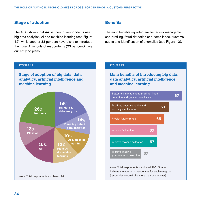## **Stage of adoption**

The ACS shows that 44 per cent of respondents use big data analytics, AI and machine learning (see Figure 12); while another 33 per cent have plans to introduce their use. A minority of respondents (23 per cent) have currently no plans.

### **Benefits**

The main benefits reported are better risk management and profiling, fraud detection and compliance, customs audits and identification of anomalies (see Figure 13).

#### **FIGURE 12**

**Stage of adoption of big data, data analytics, artificial intelligence and machine learning**



#### **FIGURE 13**

**Main benefits of introducing big data, data analytics, artificial intelligence and machine learning**



*Note:* Total respondents numbered 100. Figures indicate the number of responses for each category (respondents could give more than one answer).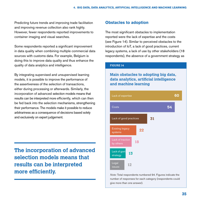Predicting future trends and improving trade facilitation and improving revenue collection also rank highly. However, fewer respondents reported improvements to container imaging and visual searches.

Some respondents reported a significant improvement in data quality when combining multiple commercial data sources with customs data. For example, Belgium is doing this to improve data quality and thus enhance the quality of data analytics and intelligence.

By integrating supervised and unsupervised learning models, it is possible to improve the performance of the assertiveness of the selection of transactions, either during processing or afterwards. Similarly, the incorporation of advanced selection models means that results can be interpreted more efficiently, which can then be fed back into the selection mechanisms, strengthening their performance. The models make it possible to reduce arbitrariness as a consequence of decisions based solely and exclusively on expert judgement.

**The incorporation of advanced selection models means that results can be interpreted more efficiently.**

## **Obstacles to adoption**

The most significant obstacles to implementation reported were the lack of expertise and the costs (see Figure 14). Similar to perceived obstacles to the introduction of IoT, a lack of good practices, current legacy systems, a lack of use by other stakeholders (18 respondents), the absence of a government strategy as

#### **FIGURE 14**

## **Main obstacles to adopting big data, data analytics, artificial intelligence and machine learning**



*Note:* Total respondents numbered 94. Figures indicate the number of responses for each category (respondents could give more than one answer).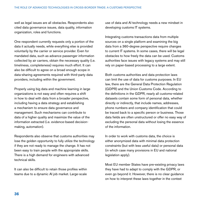well as legal issues are all obstacles. Respondents also cited data governance issues, data quality, information organization, roles and functions.

One respondent currently requests only a portion of the data it actually needs, while everything else is provided voluntarily by the carrier or service provider. Even for mandated data, such as advance passenger information collected by air carriers, obtain the necessary quality (i.e. timeliness, completeness) requires much effort. It can also be difficult to agree on a broad enough scope in data-sharing agreements required with third-party data providers, including within the government.

Properly using big data and machine learning in large organizations is not easy and often requires a shift in how to deal with data from a broader perspective, including having a data strategy and establishing a mechanism to ensure data governance and management. Such mechanisms can contribute to data of a higher quality and maximize the value of the information extracted (i.e. evidence-based decisionmaking, automation).

Respondents also observe that customs authorities may lose the golden opportunity to fully utilize the technology if they are not ready to manage the change. It has not been easy to train people with the appropriate skills. There is a high demand for engineers with advanced technical skills.

It can also be difficult to retain those profiles within teams due to a dynamic AI job market. Large-scale use of data and AI technology needs a new mindset in developing customs IT systems.

Integrating customs transactions data from multiple sources on a single platform and examining the big data from a 360-degree perspective require changes to current IT systems. In some cases, there will be legal obstacles to how freely the data can be used. Customs authorities face issues with legacy systems and may still rely on paper-based processing to a large extent.

Both customs authorities and data protection laws can limit the use of data for customs purposes. In EU law, there are the General Data Protection Regulation (GDPR) and the Union Customs Code. According to the definitions in the GDPR, nearly all customs-related datasets contain some form of personal data, whether directly or indirectly, that include names, addresses, phone numbers and company identification that could be traced back to a specific person or business. Those data fields are often unstructured or offer no easy way of excluding the personal data without losing the essence of the information.

In order to work with customs data, the choice is either anonymized data with minimal data protection constraints (but with less useful data) or personal data (in which case many provisions in EU and national legislation apply).

Most EU member States have pre-existing privacy laws they have had to adapt to comply with the GDPR, or even go beyond it. However, there is no clear guidance on how to interpret these laws together in the context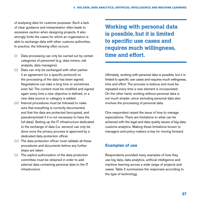of analysing data for customs purposes. Such a lack of clear guidance and interpretation often leads to excessive caution when designing projects. It also strongly limits the cases for which an organization is able to exchange data with other customs authorities. In practice, the following often occurs:

- (i) Data processing can only be carried out by certain categories of personnel (e.g. data miners, risk analysts, data managers).
- (ii) Data can only be exchanged with other parties if an agreement (or a specific protocol) on the processing of the data has been signed. Negotiations can take a long time or sometimes even fail. The content must be modified and signed again every time a new objective is defined, or a new data source or category is added.
- (iii) Internal procedures must be followed to make sure that everything is correctly documented, and that the data are protected (encrypted, and pseudonymized if it is not necessary to have the full data). Setting up the IT infrastructure dedicated to the exchange of data (i.e. servers) can only be done once the privacy process is approved by a dedicated data protection officer.
- (iv) The data protection officer must validate all these procedures and documents before any further steps are taken.
- $(v)$  The explicit authorization of the data protection committee must be obtained in order to add external data containing personal data to the IT infrastructure.

**Working with personal data is possible, but it is limited to specific use cases and requires much willingness, time and effort.**

Ultimately, working with personal data is possible, but it is limited to specific use cases and requires much willingness, time and effort. The process is tedious and must be repeated every time a new element is incorporated. On the other hand, working without personal data is not much simpler, since excluding personal data also involves the processing of personal data.

One respondent raised the issue of how to manage expectations. There are limitations to what can be achieved with the legal and data quality issues of big data customs analytics. Making these limitations known to managers and policy-makers is key for moving forward.

# **Examples of use**

Respondents provided many examples of how they use big data, data analytics, artificial intelligence and machine learning across a wide range of projects and cases. Table 2 summarizes the responses according to the type of technology.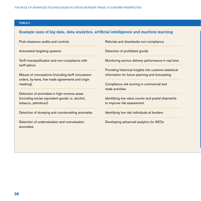#### **TABLE 2**

## **Example uses of big data, data analytics, artificial intelligence and machine learning**

| Post-clearance audits and controls |  |  |
|------------------------------------|--|--|
|                                    |  |  |

Automated targeting systems

Tariff misclassification and non-compliance with tariff advice

Misuse of concessions (including tariff concession orders, by-laws, free trade agreements and origin masking)

Detection of anomalies in high revenue areas (including excise equivalent goods i.e. alcohol, tobacco, petroleum)

Detection of dumping and countervailing anomalies

Detection of undervaluation and overvaluation anomalies

Refunds and drawbacks non-compliance

Detection of prohibited goods

Monitoring service delivery performance in real time

Providing historical insights into customs statistical information for future planning and forecasting

Compliance risk scoring in commercial and trade activities

Identifying low value courier and postal shipments to improve risk assessment

Identifying low risk individuals at borders

Developing advanced analytics for AEOs